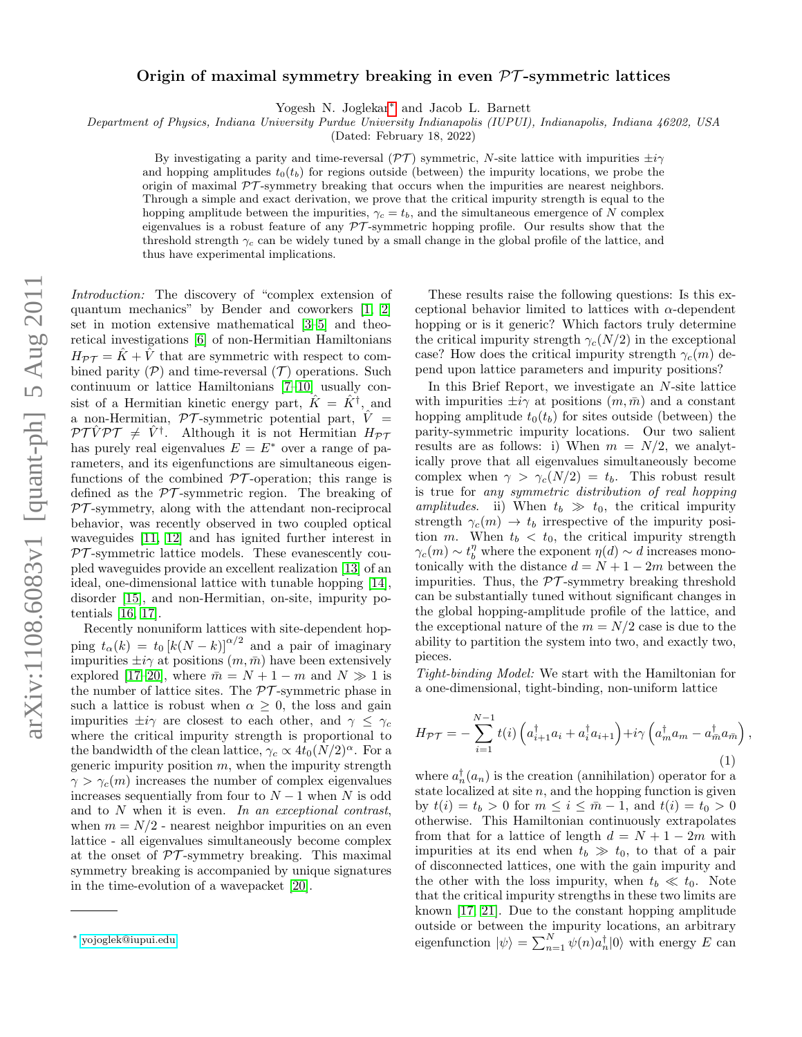## Origin of maximal symmetry breaking in even  $\mathcal{PT}$ -symmetric lattices

Yogesh N. Joglekar[∗](#page-0-0) and Jacob L. Barnett

Department of Physics, Indiana University Purdue University Indianapolis (IUPUI), Indianapolis, Indiana 46202, USA

(Dated: February 18, 2022)

By investigating a parity and time-reversal  $(\mathcal{PT})$  symmetric, N-site lattice with impurities  $\pm i\gamma$ and hopping amplitudes  $t_0(t_b)$  for regions outside (between) the impurity locations, we probe the origin of maximal  $\mathcal{PT}$ -symmetry breaking that occurs when the impurities are nearest neighbors. Through a simple and exact derivation, we prove that the critical impurity strength is equal to the hopping amplitude between the impurities,  $\gamma_c = t_b$ , and the simultaneous emergence of N complex eigenvalues is a robust feature of any  $\mathcal{PT}\text{-symmetric}$  hopping profile. Our results show that the threshold strength  $\gamma_c$  can be widely tuned by a small change in the global profile of the lattice, and thus have experimental implications.

Introduction: The discovery of "complex extension of quantum mechanics" by Bender and coworkers [\[1,](#page-2-0) [2\]](#page-2-1) set in motion extensive mathematical [\[3–](#page-2-2)[5\]](#page-2-3) and theoretical investigations [\[6\]](#page-2-4) of non-Hermitian Hamiltonians  $H_{\mathcal{PT}} = \hat{K} + \hat{V}$  that are symmetric with respect to combined parity  $(\mathcal{P})$  and time-reversal  $(\mathcal{T})$  operations. Such continuum or lattice Hamiltonians [\[7–](#page-2-5)[10\]](#page-2-6) usually consist of a Hermitian kinetic energy part,  $\hat{K} = \hat{K}^{\dagger}$ , and a non-Hermitian,  $\mathcal{PT}$ -symmetric potential part,  $\hat{V} =$  $\mathcal{PT}\hat{V}\mathcal{PT} \neq \hat{V}^{\dagger}$ . Although it is not Hermitian  $H_{\mathcal{PT}}$ has purely real eigenvalues  $E = E^*$  over a range of parameters, and its eigenfunctions are simultaneous eigenfunctions of the combined  $\mathcal{PT}$ -operation; this range is defined as the  $\mathcal{PT}$ -symmetric region. The breaking of  $PT$ -symmetry, along with the attendant non-reciprocal behavior, was recently observed in two coupled optical waveguides [\[11,](#page-2-7) [12\]](#page-2-8) and has ignited further interest in  $PT$ -symmetric lattice models. These evanescently coupled waveguides provide an excellent realization [\[13\]](#page-2-9) of an ideal, one-dimensional lattice with tunable hopping [\[14\]](#page-2-10), disorder [\[15\]](#page-2-11), and non-Hermitian, on-site, impurity potentials [\[16,](#page-2-12) [17\]](#page-2-13).

Recently nonuniform lattices with site-dependent hopping  $t_{\alpha}(k) = t_0 [k(N-k)]^{\alpha/2}$  and a pair of imaginary impurities  $\pm i\gamma$  at positions  $(m, \bar{m})$  have been extensively explored [\[17](#page-2-13)[–20\]](#page-2-14), where  $\bar{m} = N + 1 - m$  and  $N \gg 1$  is the number of lattice sites. The  $\mathcal{PT}$ -symmetric phase in such a lattice is robust when  $\alpha \geq 0$ , the loss and gain impurities  $\pm i\gamma$  are closest to each other, and  $\gamma \leq \gamma_c$ where the critical impurity strength is proportional to the bandwidth of the clean lattice,  $\gamma_c \propto 4t_0(N/2)^{\alpha}$ . For a generic impurity position  $m$ , when the impurity strength  $\gamma > \gamma_c(m)$  increases the number of complex eigenvalues increases sequentially from four to  $N-1$  when N is odd and to  $N$  when it is even. In an exceptional contrast, when  $m = N/2$  - nearest neighbor impurities on an even lattice - all eigenvalues simultaneously become complex at the onset of  $PT$ -symmetry breaking. This maximal symmetry breaking is accompanied by unique signatures in the time-evolution of a wavepacket [\[20\]](#page-2-14).

These results raise the following questions: Is this exceptional behavior limited to lattices with  $\alpha$ -dependent hopping or is it generic? Which factors truly determine the critical impurity strength  $\gamma_c(N/2)$  in the exceptional case? How does the critical impurity strength  $\gamma_c(m)$  depend upon lattice parameters and impurity positions?

In this Brief Report, we investigate an N-site lattice with impurities  $\pm i\gamma$  at positions  $(m, \bar{m})$  and a constant hopping amplitude  $t_0(t_b)$  for sites outside (between) the parity-symmetric impurity locations. Our two salient results are as follows: i) When  $m = N/2$ , we analytically prove that all eigenvalues simultaneously become complex when  $\gamma > \gamma_c(N/2) = t_b$ . This robust result is true for any symmetric distribution of real hopping amplitudes. ii) When  $t_b \gg t_0$ , the critical impurity strength  $\gamma_c(m) \to t_b$  irrespective of the impurity position m. When  $t_b < t_0$ , the critical impurity strength  $\gamma_c(m) \sim t_b^{\eta}$  where the exponent  $\eta(d) \sim d$  increases monotonically with the distance  $d = N + 1 - 2m$  between the impurities. Thus, the  $\mathcal{PT}$ -symmetry breaking threshold can be substantially tuned without significant changes in the global hopping-amplitude profile of the lattice, and the exceptional nature of the  $m = N/2$  case is due to the ability to partition the system into two, and exactly two, pieces.

Tight-binding Model: We start with the Hamiltonian for a one-dimensional, tight-binding, non-uniform lattice

<span id="page-0-1"></span>
$$
H_{\mathcal{PT}} = -\sum_{i=1}^{N-1} t(i) \left( a_{i+1}^{\dagger} a_i + a_i^{\dagger} a_{i+1} \right) + i\gamma \left( a_m^{\dagger} a_m - a_m^{\dagger} a_{\bar{m}} \right)
$$
\n(1)

,

where  $a_n^{\dagger}(a_n)$  is the creation (annihilation) operator for a state localized at site  $n$ , and the hopping function is given by  $t(i) = t_b > 0$  for  $m \leq i \leq \bar{m} - 1$ , and  $t(i) = t_0 > 0$ otherwise. This Hamiltonian continuously extrapolates from that for a lattice of length  $d = N + 1 - 2m$  with impurities at its end when  $t_b \gg t_0$ , to that of a pair of disconnected lattices, one with the gain impurity and the other with the loss impurity, when  $t_b \ll t_0$ . Note that the critical impurity strengths in these two limits are known [\[17,](#page-2-13) [21\]](#page-2-15). Due to the constant hopping amplitude outside or between the impurity locations, an arbitrary eigenfunction  $|\psi\rangle = \sum_{n=1}^{N} \psi(n) a_n^{\dagger} |0\rangle$  with energy E can

<span id="page-0-0"></span><sup>∗</sup> [yojoglek@iupui.edu](mailto:yojoglek@iupui.edu)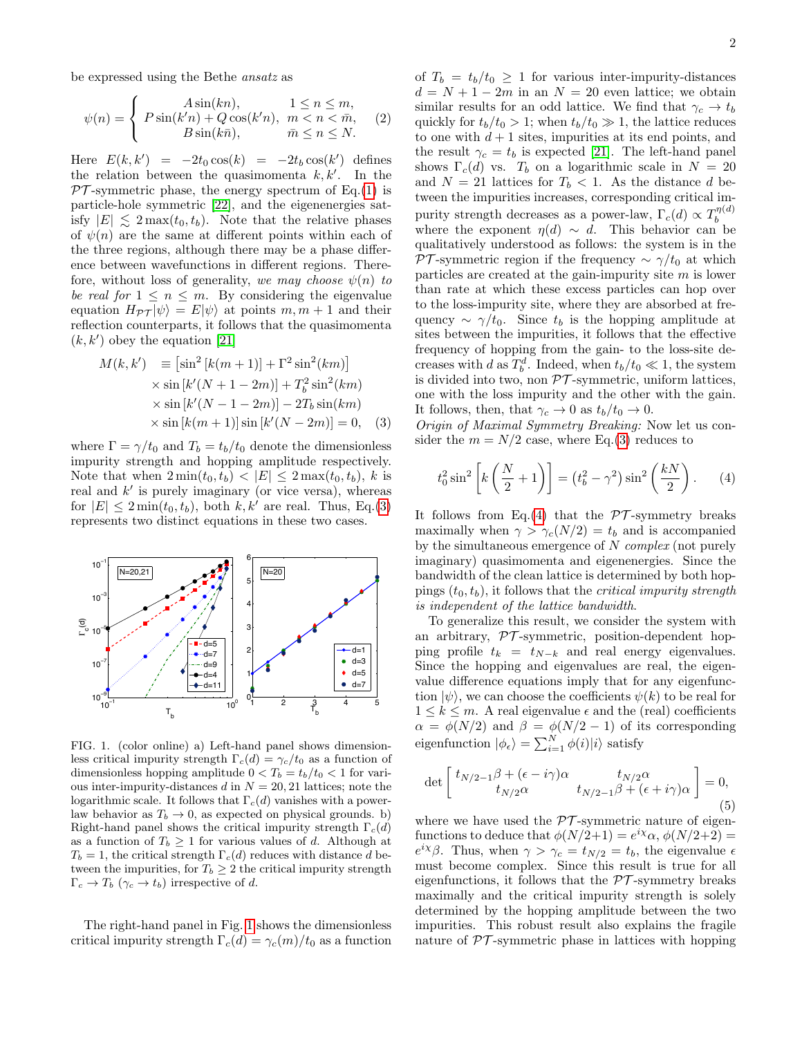be expressed using the Bethe ansatz as

$$
\psi(n) = \begin{cases}\nA\sin(kn), & 1 \le n \le m, \\
P\sin(k'n) + Q\cos(k'n), & m < n < \bar{m}, \\
B\sin(k\bar{n}), & \bar{m} \le n \le N.\n\end{cases}
$$
\n(2)

Here  $E(k, k') = -2t_0 \cos(k) = -2t_b \cos(k')$  defines the relation between the quasimomenta  $k, k'$ . In the  $PT$ -symmetric phase, the energy spectrum of Eq.[\(1\)](#page-0-1) is particle-hole symmetric [\[22\]](#page-2-16), and the eigenenergies satisfy  $|E| \leq 2 \max(t_0, t_b)$ . Note that the relative phases of  $\psi(n)$  are the same at different points within each of the three regions, although there may be a phase difference between wavefunctions in different regions. Therefore, without loss of generality, we may choose  $\psi(n)$  to be real for  $1 \leq n \leq m$ . By considering the eigenvalue equation  $H_{\mathcal{PT}} |\psi\rangle = E |\psi\rangle$  at points  $m, m+1$  and their reflection counterparts, it follows that the quasimomenta  $(k, k')$  obey the equation [\[21\]](#page-2-15)

<span id="page-1-0"></span>
$$
M(k, k') \equiv [\sin^2 [k(m+1)] + \Gamma^2 \sin^2(km)]
$$
  
 
$$
\times \sin [k'(N+1-2m)] + T_b^2 \sin^2(km)
$$
  
 
$$
\times \sin [k'(N-1-2m)] - 2T_b \sin(km)
$$
  
 
$$
\times \sin [k(m+1)] \sin [k'(N-2m)] = 0, \quad (3)
$$

where  $\Gamma = \gamma/t_0$  and  $T_b = t_b/t_0$  denote the dimensionless impurity strength and hopping amplitude respectively. Note that when  $2\min(t_0, t_b) < |E| \leq 2\max(t_0, t_b)$ , k is real and  $k'$  is purely imaginary (or vice versa), whereas for  $|E| \leq 2 \min(t_0, t_b)$ , both k, k' are real. Thus, Eq.[\(3\)](#page-1-0) represents two distinct equations in these two cases.



<span id="page-1-1"></span>FIG. 1. (color online) a) Left-hand panel shows dimensionless critical impurity strength  $\Gamma_c(d) = \gamma_c/t_0$  as a function of dimensionless hopping amplitude  $0 < T_b = t_b/t_0 < 1$  for various inter-impurity-distances d in  $N = 20, 21$  lattices; note the logarithmic scale. It follows that  $\Gamma_c(d)$  vanishes with a powerlaw behavior as  $T_b \rightarrow 0$ , as expected on physical grounds. b) Right-hand panel shows the critical impurity strength  $\Gamma_c(d)$ as a function of  $T_b \geq 1$  for various values of d. Although at  $T_b = 1$ , the critical strength  $\Gamma_c(d)$  reduces with distance d between the impurities, for  $T_b \geq 2$  the critical impurity strength  $\Gamma_c \to T_b \ (\gamma_c \to t_b)$  irrespective of d.

The right-hand panel in Fig. [1](#page-1-1) shows the dimensionless critical impurity strength  $\Gamma_c(d) = \gamma_c(m)/t_0$  as a function

of  $T_b = t_b/t_0 \ge 1$  for various inter-impurity-distances  $d = N + 1 - 2m$  in an  $N = 20$  even lattice; we obtain similar results for an odd lattice. We find that  $\gamma_c \to t_b$ quickly for  $t_b/t_0 > 1$ ; when  $t_b/t_0 \gg 1$ , the lattice reduces to one with  $d+1$  sites, impurities at its end points, and the result  $\gamma_c = t_b$  is expected [\[21\]](#page-2-15). The left-hand panel shows  $\Gamma_c(d)$  vs.  $T_b$  on a logarithmic scale in  $N = 20$ and  $N = 21$  lattices for  $T_b < 1$ . As the distance d between the impurities increases, corresponding critical impurity strength decreases as a power-law,  $\Gamma_c(d) \propto T_b^{\eta(d)}$ b where the exponent  $\eta(d) \sim d$ . This behavior can be qualitatively understood as follows: the system is in the PT-symmetric region if the frequency  $\sim \gamma/t_0$  at which particles are created at the gain-impurity site  $m$  is lower than rate at which these excess particles can hop over to the loss-impurity site, where they are absorbed at frequency  $\sim \gamma/t_0$ . Since  $t_b$  is the hopping amplitude at sites between the impurities, it follows that the effective frequency of hopping from the gain- to the loss-site decreases with d as  $T_b^d$ . Indeed, when  $t_b/t_0 \ll 1$ , the system is divided into two, non  $\mathcal{PT}$ -symmetric, uniform lattices, one with the loss impurity and the other with the gain. It follows, then, that  $\gamma_c \to 0$  as  $t_b/t_0 \to 0$ .

Origin of Maximal Symmetry Breaking: Now let us consider the  $m = N/2$  case, where Eq.[\(3\)](#page-1-0) reduces to

<span id="page-1-2"></span>
$$
t_0^2 \sin^2 \left[ k \left( \frac{N}{2} + 1 \right) \right] = \left( t_b^2 - \gamma^2 \right) \sin^2 \left( \frac{kN}{2} \right). \tag{4}
$$

It follows from Eq.[\(4\)](#page-1-2) that the  $\mathcal{PT}$ -symmetry breaks maximally when  $\gamma > \gamma_c(N/2) = t_b$  and is accompanied by the simultaneous emergence of  $N$  complex (not purely imaginary) quasimomenta and eigenenergies. Since the bandwidth of the clean lattice is determined by both hoppings  $(t_0, t_b)$ , it follows that the *critical impurity strength* is independent of the lattice bandwidth.

To generalize this result, we consider the system with an arbitrary,  $PT$ -symmetric, position-dependent hopping profile  $t_k = t_{N-k}$  and real energy eigenvalues. Since the hopping and eigenvalues are real, the eigenvalue difference equations imply that for any eigenfunction  $|\psi\rangle$ , we can choose the coefficients  $\psi(k)$  to be real for  $1 \leq k \leq m$ . A real eigenvalue  $\epsilon$  and the (real) coefficients  $\alpha = \phi(N/2)$  and  $\beta = \phi(N/2 - 1)$  of its corresponding eigenfunction  $|\phi_{\epsilon}\rangle = \sum_{i=1}^{N} \phi(i)|i\rangle$  satisfy

$$
\det \begin{bmatrix} t_{N/2-1}\beta + (\epsilon - i\gamma)\alpha & t_{N/2}\alpha \\ t_{N/2}\alpha & t_{N/2-1}\beta + (\epsilon + i\gamma)\alpha \end{bmatrix} = 0,
$$
\n(5)

where we have used the  $PT$ -symmetric nature of eigenfunctions to deduce that  $\phi(N/2+1) = e^{i\chi}\alpha$ ,  $\phi(N/2+2) =$  $e^{i\chi}\beta$ . Thus, when  $\gamma > \gamma_c = t_{N/2} = t_b$ , the eigenvalue  $\epsilon$ must become complex. Since this result is true for all eigenfunctions, it follows that the  $\mathcal{PT}$ -symmetry breaks maximally and the critical impurity strength is solely determined by the hopping amplitude between the two impurities. This robust result also explains the fragile nature of  $\mathcal{PT}$ -symmetric phase in lattices with hopping